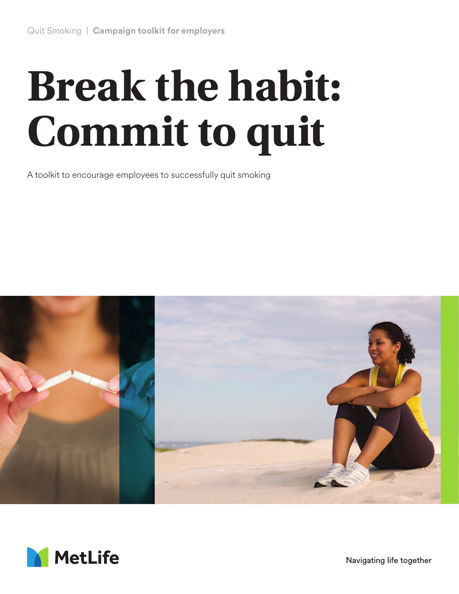# **Break the habit: Commit to quit**

A toolkit to encourage employees to successfully quit smoking





Navigating life together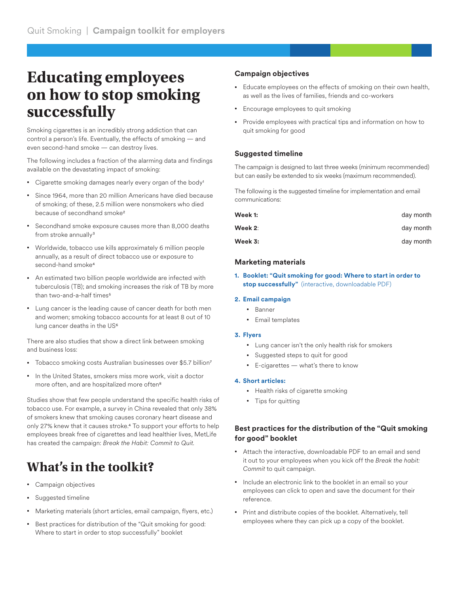## **Educating employees on how to stop smoking successfully**

Smoking cigarettes is an incredibly strong addiction that can control a person's life. Eventually, the effects of smoking — and even second-hand smoke — can destroy lives.

The following includes a fraction of the alarming data and findings available on the devastating impact of smoking:

- Cigarette smoking damages nearly every organ of the body1
- Since 1964, more than 20 million Americans have died because of smoking; of these, 2.5 million were nonsmokers who died because of secondhand smoke<sup>2</sup>
- Secondhand smoke exposure causes more than 8,000 deaths from stroke annually<sup>3</sup>
- Worldwide, tobacco use kills approximately 6 million people annually, as a result of direct tobacco use or exposure to second-hand smoke4
- An estimated two billion people worldwide are infected with tuberculosis (TB); and smoking increases the risk of TB by more than two-and-a-half times<sup>5</sup>
- Lung cancer is the leading cause of cancer death for both men and women; smoking tobacco accounts for at least 8 out of 10 lung cancer deaths in the US<sup>6</sup>

There are also studies that show a direct link between smoking and business loss:

- Tobacco smoking costs Australian businesses over \$5.7 billion7
- In the United States, smokers miss more work, visit a doctor more often, and are hospitalized more often8

Studies show that few people understand the specific health risks of tobacco use. For example, a survey in China revealed that only 38% of smokers knew that smoking causes coronary heart disease and only 27% knew that it causes stroke.4 To support your efforts to help employees break free of cigarettes and lead healthier lives, MetLife has created the campaign: *Break the Habit: Commit to Quit.*

### **What's in the toolkit?**

- Campaign objectives
- Suggested timeline
- Marketing materials (short articles, email campaign, flyers, etc.)
- Best practices for distribution of the "Quit smoking for good: Where to start in order to stop successfully" booklet

#### **Campaign objectives**

- Educate employees on the effects of smoking on their own health, as well as the lives of families, friends and co-workers
- Encourage employees to quit smoking
- Provide employees with practical tips and information on how to quit smoking for good

#### **Suggested timeline**

The campaign is designed to last three weeks (minimum recommended) but can easily be extended to six weeks (maximum recommended).

The following is the suggested timeline for implementation and email communications:

| Week 1: | day month |
|---------|-----------|
| Week 2: | day month |
| Week 3: | day month |

#### **Marketing materials**

**1. Booklet: "Quit smoking for good: Where to start in order to stop successfully"** (interactive, downloadable PDF)

#### **2. Email campaign**

- Banner
- Email templates

#### **3. Flyers**

- Lung cancer isn't the only health risk for smokers
- Suggested steps to quit for good
- E-cigarettes what's there to know

#### **4. Short articles:**

- Health risks of cigarette smoking
- Tips for quitting

#### **Best practices for the distribution of the "Quit smoking for good" booklet**

- Attach the interactive, downloadable PDF to an email and send it out to your employees when you kick off the *Break the habit: Commit* to quit campaign.
- Include an electronic link to the booklet in an email so your employees can click to open and save the document for their reference.
- Print and distribute copies of the booklet. Alternatively, tell employees where they can pick up a copy of the booklet.